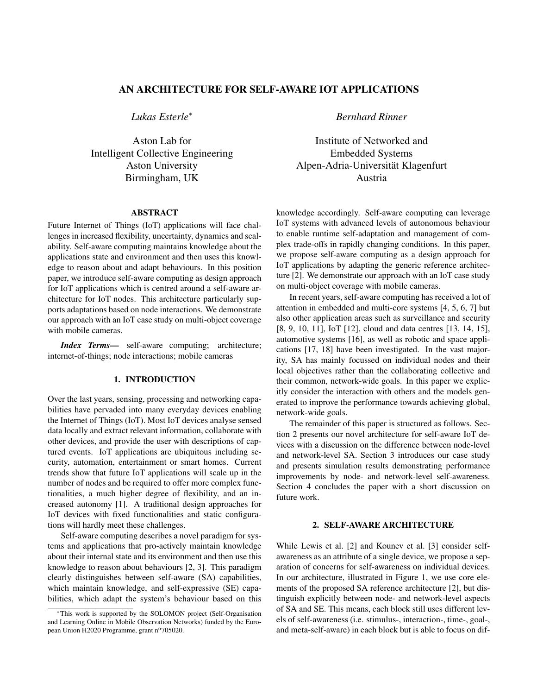# AN ARCHITECTURE FOR SELF-AWARE IOT APPLICATIONS

*Lukas Esterle*<sup>∗</sup>

Aston Lab for Intelligent Collective Engineering Aston University Birmingham, UK

#### ABSTRACT

Future Internet of Things (IoT) applications will face challenges in increased flexibility, uncertainty, dynamics and scalability. Self-aware computing maintains knowledge about the applications state and environment and then uses this knowledge to reason about and adapt behaviours. In this position paper, we introduce self-aware computing as design approach for IoT applications which is centred around a self-aware architecture for IoT nodes. This architecture particularly supports adaptations based on node interactions. We demonstrate our approach with an IoT case study on multi-object coverage with mobile cameras.

*Index Terms*— self-aware computing; architecture; internet-of-things; node interactions; mobile cameras

#### 1. INTRODUCTION

Over the last years, sensing, processing and networking capabilities have pervaded into many everyday devices enabling the Internet of Things (IoT). Most IoT devices analyse sensed data locally and extract relevant information, collaborate with other devices, and provide the user with descriptions of captured events. IoT applications are ubiquitous including security, automation, entertainment or smart homes. Current trends show that future IoT applications will scale up in the number of nodes and be required to offer more complex functionalities, a much higher degree of flexibility, and an increased autonomy [1]. A traditional design approaches for IoT devices with fixed functionalities and static configurations will hardly meet these challenges.

Self-aware computing describes a novel paradigm for systems and applications that pro-actively maintain knowledge about their internal state and its environment and then use this knowledge to reason about behaviours [2, 3]. This paradigm clearly distinguishes between self-aware (SA) capabilities, which maintain knowledge, and self-expressive (SE) capabilities, which adapt the system's behaviour based on this *Bernhard Rinner*

Institute of Networked and Embedded Systems Alpen-Adria-Universität Klagenfurt Austria

knowledge accordingly. Self-aware computing can leverage IoT systems with advanced levels of autonomous behaviour to enable runtime self-adaptation and management of complex trade-offs in rapidly changing conditions. In this paper, we propose self-aware computing as a design approach for IoT applications by adapting the generic reference architecture [2]. We demonstrate our approach with an IoT case study on multi-object coverage with mobile cameras.

In recent years, self-aware computing has received a lot of attention in embedded and multi-core systems [4, 5, 6, 7] but also other application areas such as surveillance and security [8, 9, 10, 11], IoT [12], cloud and data centres [13, 14, 15], automotive systems [16], as well as robotic and space applications [17, 18] have been investigated. In the vast majority, SA has mainly focussed on individual nodes and their local objectives rather than the collaborating collective and their common, network-wide goals. In this paper we explicitly consider the interaction with others and the models generated to improve the performance towards achieving global, network-wide goals.

The remainder of this paper is structured as follows. Section 2 presents our novel architecture for self-aware IoT devices with a discussion on the difference between node-level and network-level SA. Section 3 introduces our case study and presents simulation results demonstrating performance improvements by node- and network-level self-awareness. Section 4 concludes the paper with a short discussion on future work.

#### 2. SELF-AWARE ARCHITECTURE

While Lewis et al. [2] and Kounev et al. [3] consider selfawareness as an attribute of a single device, we propose a separation of concerns for self-awareness on individual devices. In our architecture, illustrated in Figure 1, we use core elements of the proposed SA reference architecture [2], but distinguish explicitly between node- and network-level aspects of SA and SE. This means, each block still uses different levels of self-awareness (i.e. stimulus-, interaction-, time-, goal-, and meta-self-aware) in each block but is able to focus on dif-

<sup>∗</sup>This work is supported by the SOLOMON project (Self-Organisation and Learning Online in Mobile Observation Networks) funded by the European Union H2020 Programme, grant nº705020.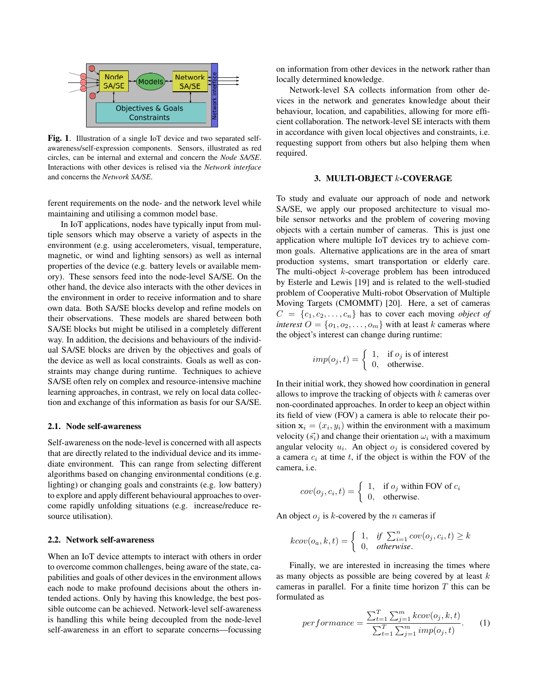

Fig. 1. Illustration of a single IoT device and two separated selfawareness/self-expression components. Sensors, illustrated as red circles, can be internal and external and concern the *Node SA/SE*. Interactions with other devices is relised via the *Network interface* and concerns the *Network SA/SE*.

ferent requirements on the node- and the network level while maintaining and utilising a common model base.

In IoT applications, nodes have typically input from multiple sensors which may observe a variety of aspects in the environment (e.g. using accelerometers, visual, temperature, magnetic, or wind and lighting sensors) as well as internal properties of the device (e.g. battery levels or available memory). These sensors feed into the node-level SA/SE. On the other hand, the device also interacts with the other devices in the environment in order to receive information and to share own data. Both SA/SE blocks develop and refine models on their observations. These models are shared between both SA/SE blocks but might be utilised in a completely different way. In addition, the decisions and behaviours of the individual SA/SE blocks are driven by the objectives and goals of the device as well as local constraints. Goals as well as constraints may change during runtime. Techniques to achieve SA/SE often rely on complex and resource-intensive machine learning approaches, in contrast, we rely on local data collection and exchange of this information as basis for our SA/SE.

#### 2.1. Node self-awareness

Self-awareness on the node-level is concerned with all aspects that are directly related to the individual device and its immediate environment. This can range from selecting different algorithms based on changing environmental conditions (e.g. lighting) or changing goals and constraints (e.g. low battery) to explore and apply different behavioural approaches to overcome rapidly unfolding situations (e.g. increase/reduce resource utilisation).

#### 2.2. Network self-awareness

When an IoT device attempts to interact with others in order to overcome common challenges, being aware of the state, capabilities and goals of other devices in the environment allows each node to make profound decisions about the others intended actions. Only by having this knowledge, the best possible outcome can be achieved. Network-level self-awareness is handling this while being decoupled from the node-level self-awareness in an effort to separate concerns—focussing

on information from other devices in the network rather than locally determined knowledge.

Network-level SA collects information from other devices in the network and generates knowledge about their behaviour, location, and capabilities, allowing for more efficient collaboration. The network-level SE interacts with them in accordance with given local objectives and constraints, i.e. requesting support from others but also helping them when required.

#### 3. MULTI-OBJECT k-COVERAGE

To study and evaluate our approach of node and network SA/SE, we apply our proposed architecture to visual mobile sensor networks and the problem of covering moving objects with a certain number of cameras. This is just one application where multiple IoT devices try to achieve common goals. Alternative applications are in the area of smart production systems, smart transportation or elderly care. The multi-object k-coverage problem has been introduced by Esterle and Lewis [19] and is related to the well-studied problem of Cooperative Multi-robot Observation of Multiple Moving Targets (CMOMMT) [20]. Here, a set of cameras  $C = \{c_1, c_2, \ldots, c_n\}$  has to cover each moving *object of interest*  $O = \{o_1, o_2, \ldots, o_m\}$  with at least k cameras where the object's interest can change during runtime:

$$
imp(o_j, t) = \begin{cases} 1, & \text{if } o_j \text{ is of interest} \\ 0, & \text{otherwise.} \end{cases}
$$

In their initial work, they showed how coordination in general allows to improve the tracking of objects with  $k$  cameras over non-coordinated approaches. In order to keep an object within its field of view (FOV) a camera is able to relocate their position  $x_i = (x_i, y_i)$  within the environment with a maximum velocity  $(\vec{s_i})$  and change their orientation  $\omega_i$  with a maximum angular velocity  $u_i$ . An object  $o_j$  is considered covered by a camera  $c_i$  at time t, if the object is within the FOV of the camera, i.e.

$$
cov(o_j, c_i, t) = \begin{cases} 1, & \text{if } o_j \text{ within FOV of } c_i \\ 0, & \text{otherwise.} \end{cases}
$$

An object  $o_i$  is k-covered by the *n* cameras if

$$
kcov(o_a, k, t) = \begin{cases} 1, & \text{if } \sum_{i=1}^n cov(o_j, c_i, t) \ge k \\ 0, & \text{otherwise.} \end{cases}
$$

Finally, we are interested in increasing the times where as many objects as possible are being covered by at least k cameras in parallel. For a finite time horizon  $T$  this can be formulated as

$$
performance = \frac{\sum_{t=1}^{T} \sum_{j=1}^{m} kcov(o_j, k, t)}{\sum_{t=1}^{T} \sum_{j=1}^{m} imp(o_j, t)}.
$$
 (1)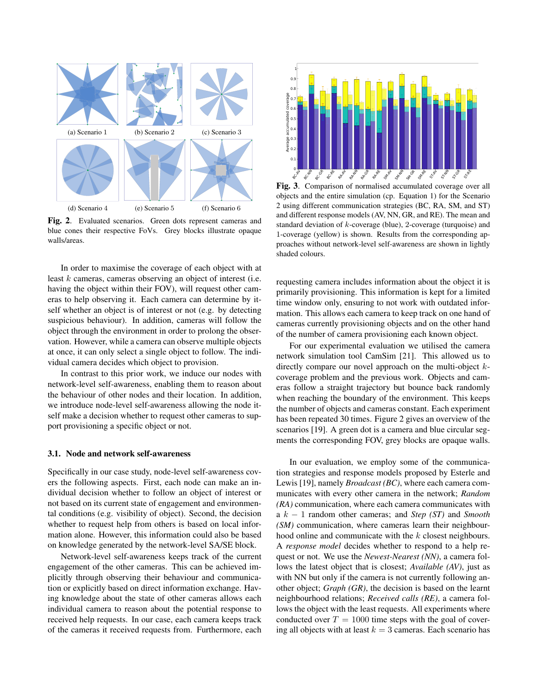

Fig. 2. Evaluated scenarios. Green dots represent cameras and blue cones their respective FoVs. Grey blocks illustrate opaque walls/areas.

In order to maximise the coverage of each object with at least k cameras, cameras observing an object of interest (i.e. having the object within their FOV), will request other cameras to help observing it. Each camera can determine by itself whether an object is of interest or not (e.g. by detecting suspicious behaviour). In addition, cameras will follow the object through the environment in order to prolong the observation. However, while a camera can observe multiple objects at once, it can only select a single object to follow. The individual camera decides which object to provision.

In contrast to this prior work, we induce our nodes with network-level self-awareness, enabling them to reason about the behaviour of other nodes and their location. In addition, we introduce node-level self-awareness allowing the node itself make a decision whether to request other cameras to support provisioning a specific object or not.

#### 3.1. Node and network self-awareness

Specifically in our case study, node-level self-awareness covers the following aspects. First, each node can make an individual decision whether to follow an object of interest or not based on its current state of engagement and environmental conditions (e.g. visibility of object). Second, the decision whether to request help from others is based on local information alone. However, this information could also be based on knowledge generated by the network-level SA/SE block.

Network-level self-awareness keeps track of the current engagement of the other cameras. This can be achieved implicitly through observing their behaviour and communication or explicitly based on direct information exchange. Having knowledge about the state of other cameras allows each individual camera to reason about the potential response to received help requests. In our case, each camera keeps track of the cameras it received requests from. Furthermore, each



Fig. 3. Comparison of normalised accumulated coverage over all objects and the entire simulation (cp. Equation 1) for the Scenario 2 using different communication strategies (BC, RA, SM, and ST) and different response models (AV, NN, GR, and RE). The mean and standard deviation of k-coverage (blue), 2-coverage (turquoise) and 1-coverage (yellow) is shown. Results from the corresponding approaches without network-level self-awareness are shown in lightly shaded colours.

requesting camera includes information about the object it is primarily provisioning. This information is kept for a limited time window only, ensuring to not work with outdated information. This allows each camera to keep track on one hand of cameras currently provisioning objects and on the other hand of the number of camera provisioning each known object.

For our experimental evaluation we utilised the camera network simulation tool CamSim [21]. This allowed us to directly compare our novel approach on the multi-object kcoverage problem and the previous work. Objects and cameras follow a straight trajectory but bounce back randomly when reaching the boundary of the environment. This keeps the number of objects and cameras constant. Each experiment has been repeated 30 times. Figure 2 gives an overview of the scenarios [19]. A green dot is a camera and blue circular segments the corresponding FOV, grey blocks are opaque walls.

In our evaluation, we employ some of the communication strategies and response models proposed by Esterle and Lewis [19], namely *Broadcast (BC)*, where each camera communicates with every other camera in the network; *Random (RA)* communication, where each camera communicates with a k − 1 random other cameras; and *Step (ST)* and *Smooth (SM)* communication, where cameras learn their neighbourhood online and communicate with the k closest neighbours. A *response model* decides whether to respond to a help request or not. We use the *Newest-Nearest (NN)*, a camera follows the latest object that is closest; *Available (AV)*, just as with NN but only if the camera is not currently following another object; *Graph (GR)*, the decision is based on the learnt neighbourhood relations; *Received calls (RE)*, a camera follows the object with the least requests. All experiments where conducted over  $T = 1000$  time steps with the goal of covering all objects with at least  $k = 3$  cameras. Each scenario has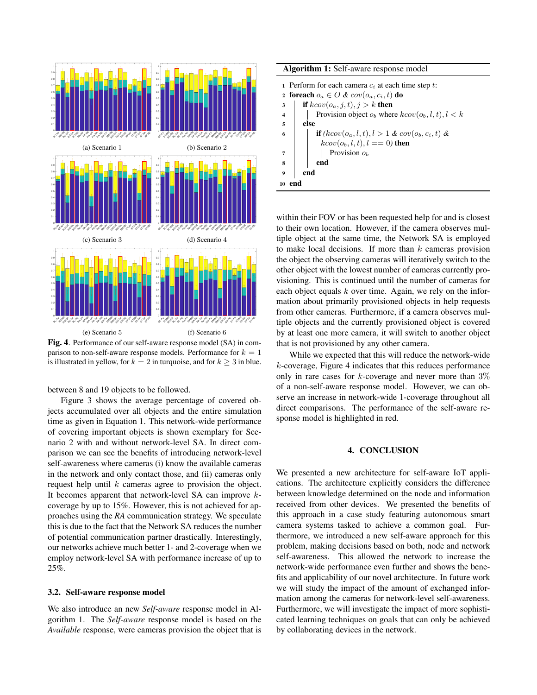

Fig. 4. Performance of our self-aware response model (SA) in comparison to non-self-aware response models. Performance for  $k = 1$ is illustrated in yellow, for  $k = 2$  in turquoise, and for  $k \geq 3$  in blue.

between 8 and 19 objects to be followed.

Figure 3 shows the average percentage of covered objects accumulated over all objects and the entire simulation time as given in Equation 1. This network-wide performance of covering important objects is shown exemplary for Scenario 2 with and without network-level SA. In direct comparison we can see the benefits of introducing network-level self-awareness where cameras (i) know the available cameras in the network and only contact those, and (ii) cameras only request help until k cameras agree to provision the object. It becomes apparent that network-level SA can improve  $k$ coverage by up to 15%. However, this is not achieved for approaches using the *RA* communication strategy. We speculate this is due to the fact that the Network SA reduces the number of potential communication partner drastically. Interestingly, our networks achieve much better 1- and 2-coverage when we employ network-level SA with performance increase of up to 25%.

## 3.2. Self-aware response model

We also introduce an new *Self-aware* response model in Algorithm 1. The *Self-aware* response model is based on the *Available* response, were cameras provision the object that is

| <b>Algorithm 1:</b> Self-aware response model                                                 |
|-----------------------------------------------------------------------------------------------|
| 1 Perform for each camera $c_i$ at each time step t:                                          |
| 2 foreach $o_a \in O$ & $cov(o_a, c_i, t)$ do                                                 |
| if $kcov(o_a, j, t), j > k$ then<br>3                                                         |
| Provision object $o_b$ where $kcov(o_b, l, t)$ , $l < k$<br>$\overline{\mathbf{4}}$           |
| else<br>5                                                                                     |
| 6                                                                                             |
| <b>if</b> $(kcov(o_a, l, t), l > 1 \& cov(o_b, c_i, t) \&$<br>$kcov(o_b, l, t), l == 0)$ then |
| Provision $o_b$<br>7                                                                          |
| 8<br>end                                                                                      |
| end<br>$\boldsymbol{9}$                                                                       |
| end                                                                                           |

within their FOV or has been requested help for and is closest to their own location. However, if the camera observes multiple object at the same time, the Network SA is employed to make local decisions. If more than  $k$  cameras provision the object the observing cameras will iteratively switch to the other object with the lowest number of cameras currently provisioning. This is continued until the number of cameras for each object equals  $k$  over time. Again, we rely on the information about primarily provisioned objects in help requests from other cameras. Furthermore, if a camera observes multiple objects and the currently provisioned object is covered by at least one more camera, it will switch to another object that is not provisioned by any other camera.

While we expected that this will reduce the network-wide  $k$ -coverage, Figure 4 indicates that this reduces performance only in rare cases for  $k$ -coverage and never more than  $3\%$ of a non-self-aware response model. However, we can observe an increase in network-wide 1-coverage throughout all direct comparisons. The performance of the self-aware response model is highlighted in red.

#### 4. CONCLUSION

We presented a new architecture for self-aware IoT applications. The architecture explicitly considers the difference between knowledge determined on the node and information received from other devices. We presented the benefits of this approach in a case study featuring autonomous smart camera systems tasked to achieve a common goal. Furthermore, we introduced a new self-aware approach for this problem, making decisions based on both, node and network self-awareness. This allowed the network to increase the network-wide performance even further and shows the benefits and applicability of our novel architecture. In future work we will study the impact of the amount of exchanged information among the cameras for network-level self-awareness. Furthermore, we will investigate the impact of more sophisticated learning techniques on goals that can only be achieved by collaborating devices in the network.